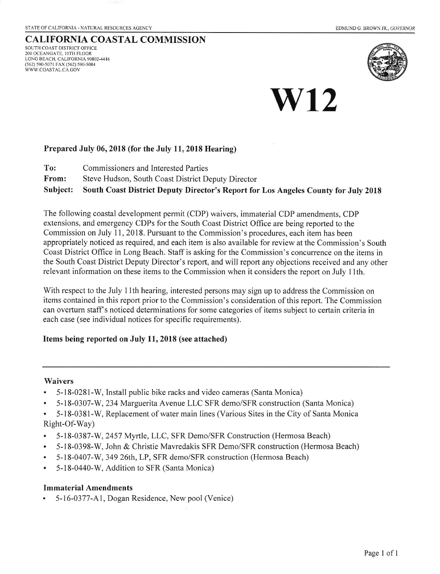#### CALTFORNIA COASTAL COMMISSION SOUTH COAST DISTRICT OFFICE 200 OCEANGATE, 10TH FLOOR LONG BEACH. CALIFORNIA 90802.44I6 (562) 590-5071 FAX (562) 590-5084 WWW.COASTAL.CA GOV



# **W12**

### Prepared July 06, 2018 (for the July 11, 2018 Hearing)

- To: Commissioners and Interested Parties
- From: Steve Hudson, South Coast District Deputy Director

Subject: South Coast District Deputy Director's Report for Los Angeles County for July 2018

The following coastal development permit (CDP) waivers, immaterial CDP amendments, CDP extensions, and emergency CDPs for the South Coast District Office are being reported to the Commission on July 11, 2018. Pursuant to the Commission's procedures, each item has been appropriately noticed as required, and each item is also available for review at the Commission's South Coast District Office in Long Beach. Staff is asking for the Commission's concurrence on the items in the South Coast District Deputy Director's report, and will report any objections received and any other relevant information on these items to the Commission when it considers the report on July l1th.

With respect to the July 11th hearing, interested persons may sign up to address the Commission on items contained in this report prior to the Commission's consideration of this report. The Commission can overturn staff's noticed determinations for some categories of items subject to certain criteria in each case (see individual notices for specific requirements).

### Items being reported on July 11, 2018 (see attached)

#### Waivers

- . 5-18-0281-W, Install public bike racks and video cameras (Santa Monica)
- . 5-18-0307-W, 234 Marguerita Avenue LLC SFR demo/SFR construction (Santa Monica)
- . 5-t8-0381-W, Replacement of water main lines (Various Sites in the City of Santa Monica Right-Of-Way)
- . 5-18-0387-W, 2457 MyrtIe, LLC, SFR Demo/SFR Construction (Hermosa Beach)
- . 5-18-0398-W, John & Christie Mavredakis SFR Demo/SFR construction (Hermosa Beach)
- . 5- l8-0407-W, 349 26th, LP, SFR demo/SFR construction (Hermosa Beach)
- $5-18-0440-W$ , Addition to SFR (Santa Monica)

### Immaterial Amendments

5-16-0377-A1, Dogan Residence, New pool (Venice)